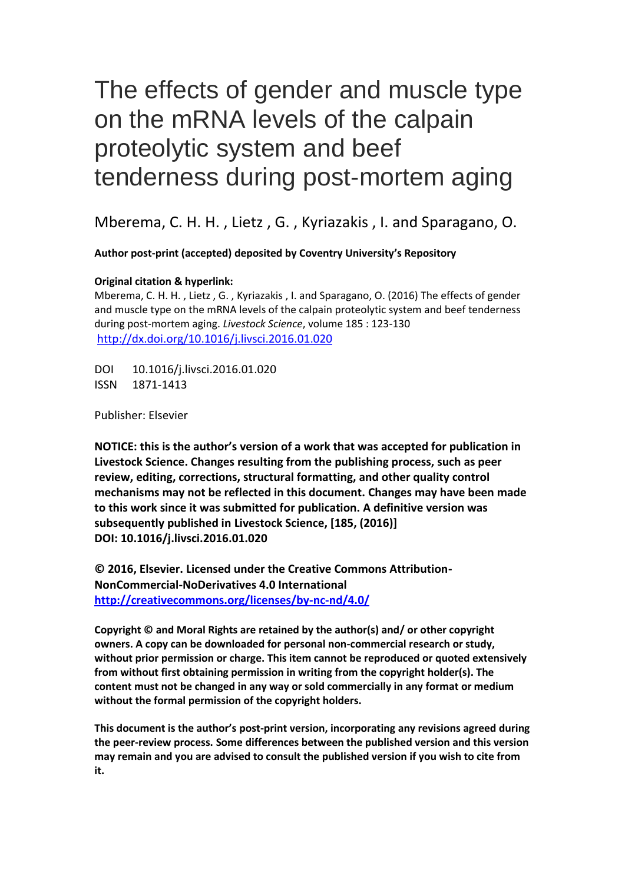# The effects of gender and muscle type on the mRNA levels of the calpain proteolytic system and beef tenderness during post-mortem aging

Mberema, C. H. H. , Lietz , G. , Kyriazakis , I. and Sparagano, O.

**Author post-print (accepted) deposited by Coventry University's Repository**

#### **Original citation & hyperlink:**

Mberema, C. H. H. , Lietz , G. , Kyriazakis , I. and Sparagano, O. (2016) The effects of gender and muscle type on the mRNA levels of the calpain proteolytic system and beef tenderness during post-mortem aging. *Livestock Science*, volume 185 : 123-130 <http://dx.doi.org/10.1016/j.livsci.2016.01.020>

DOI 10.1016/j.livsci.2016.01.020 ISSN 1871-1413

Publisher: Elsevier

**NOTICE: this is the author's version of a work that was accepted for publication in Livestock Science. Changes resulting from the publishing process, such as peer review, editing, corrections, structural formatting, and other quality control mechanisms may not be reflected in this document. Changes may have been made to this work since it was submitted for publication. A definitive version was subsequently published in Livestock Science, [185, (2016)] DOI: 10.1016/j.livsci.2016.01.020**

**© 2016, Elsevier. Licensed under the Creative Commons Attribution-NonCommercial-NoDerivatives 4.0 International <http://creativecommons.org/licenses/by-nc-nd/4.0/>**

**Copyright © and Moral Rights are retained by the author(s) and/ or other copyright owners. A copy can be downloaded for personal non-commercial research or study, without prior permission or charge. This item cannot be reproduced or quoted extensively from without first obtaining permission in writing from the copyright holder(s). The content must not be changed in any way or sold commercially in any format or medium without the formal permission of the copyright holders.** 

**This document is the author's post-print version, incorporating any revisions agreed during the peer-review process. Some differences between the published version and this version may remain and you are advised to consult the published version if you wish to cite from it.**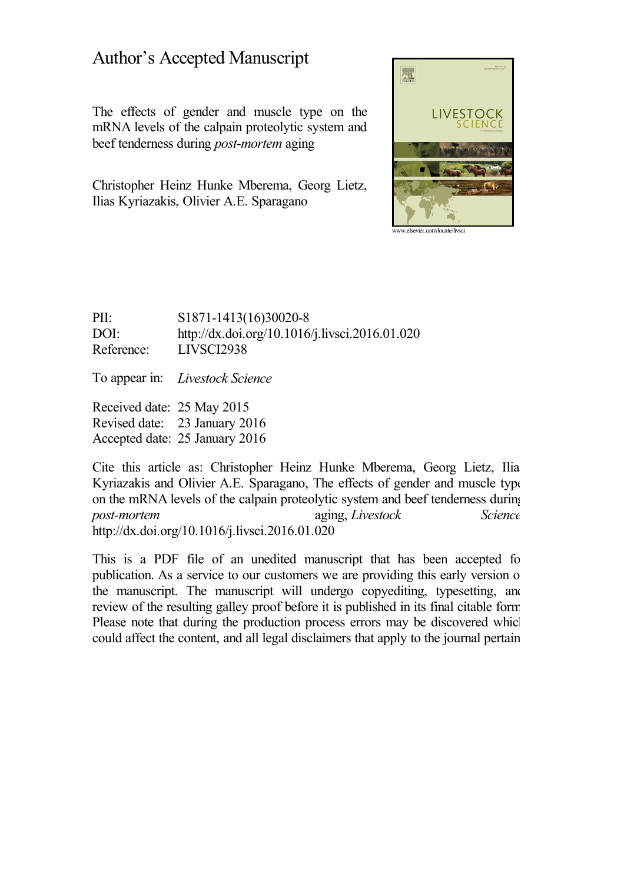# Author's Accepted Manuscript

The effects of gender and muscle type on the mRNA levels of the calpain proteolytic system and beef tenderness during *post-mortem* aging

Christopher Heinz Hunke Mberema, Georg Lietz, Ilias Kyriazakis, Olivier A.E. Sparagano



PII: S1871-1413(16)30020-8 DOI: <http://dx.doi.org/10.1016/j.livsci.2016.01.020> Reference: LIVSCI2938

To appear in: *Livestock Science*

Received date: 25 May 2015 Revised date: 23 January 2016 Accepted date: 25 January 2016

Cite this article as: Christopher Heinz Hunke Mberema, Georg Lietz, Ilia Kyriazakis and Olivier A.E. Sparagano, The effects of gender and muscle type on the mRNA levels of the calpain proteolytic system and beef tenderness during *post-mortem* aging, *Livestock Science,* <http://dx.doi.org/10.1016/j.livsci.2016.01.020>

This is a PDF file of an unedited manuscript that has been accepted for publication. As a service to our customers we are providing this early version of the manuscript. The manuscript will undergo copyediting, typesetting, and review of the resulting galley proof before it is published in its final citable form. Please note that during the production process errors may be discovered which could affect the content, and all legal disclaimers that apply to the journal pertain.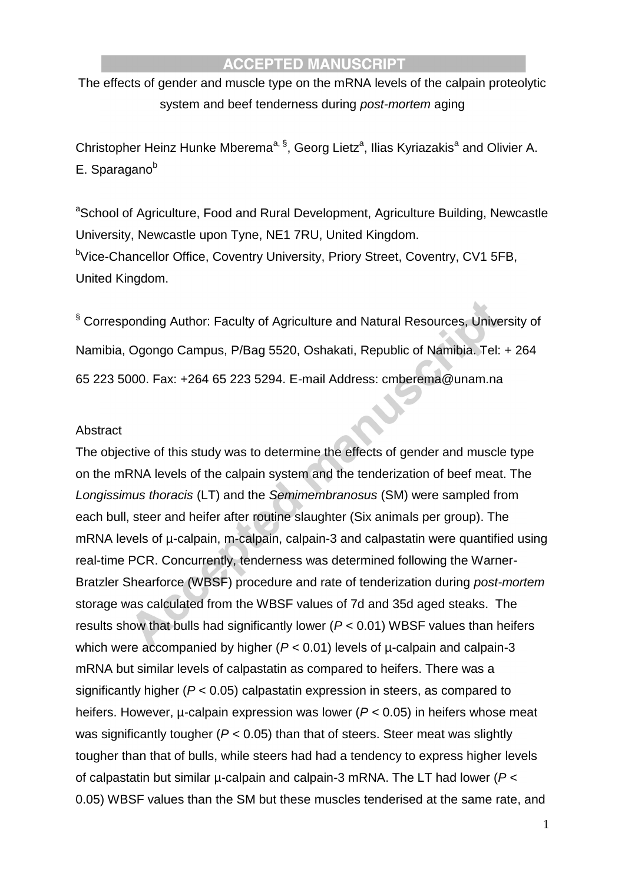The effects of gender and muscle type on the mRNA levels of the calpain proteolytic system and beef tenderness during *post-mortem* aging

Christopher Heinz Hunke Mberema<sup>a, §</sup>, Georg Lietz<sup>a</sup>, Ilias Kyriazakis<sup>a</sup> and Olivier A.  $E.$  Sparagano $<sup>b</sup>$ </sup>

<sup>a</sup>School of Agriculture, Food and Rural Development, Agriculture Building, Newcastle University, Newcastle upon Tyne, NE1 7RU, United Kingdom. <sup>b</sup>Vice-Chancellor Office, Coventry University, Priory Street, Coventry, CV1 5FB, United Kingdom.

§ Corresponding Author: Faculty of Agriculture and Natural Resources, University of Namibia, Ogongo Campus, P/Bag 5520, Oshakati, Republic of Namibia. Tel: + 264 65 223 5000. Fax: +264 65 223 5294. E-mail Address: cmberema@unam.na

#### Abstract

The objective of this study was to determine the effects of gender and muscle type on the mRNA levels of the calpain system and the tenderization of beef meat. The *Longissimus thoracis* (LT) and the *Semimembranosus* (SM) were sampled from each bull, steer and heifer after routine slaughter (Six animals per group). The mRNA levels of  $\mu$ -calpain, m-calpain, calpain-3 and calpastatin were quantified using real-time PCR. Concurrently, tenderness was determined following the Warner-Bratzler Shearforce (WBSF) procedure and rate of tenderization during *post-mortem* storage was calculated from the WBSF values of 7d and 35d aged steaks. The results show that bulls had significantly lower (*P* < 0.01) WBSF values than heifers which were accompanied by higher ( $P < 0.01$ ) levels of  $\mu$ -calpain and calpain-3 mRNA but similar levels of calpastatin as compared to heifers. There was a significantly higher (*P* < 0.05) calpastatin expression in steers, as compared to heifers. However, µ-calpain expression was lower (*P* < 0.05) in heifers whose meat was significantly tougher (*P* < 0.05) than that of steers. Steer meat was slightly tougher than that of bulls, while steers had had a tendency to express higher levels of calpastatin but similar µ-calpain and calpain-3 mRNA. The LT had lower (*P* < 0.05) WBSF values than the SM but these muscles tenderised at the same rate, and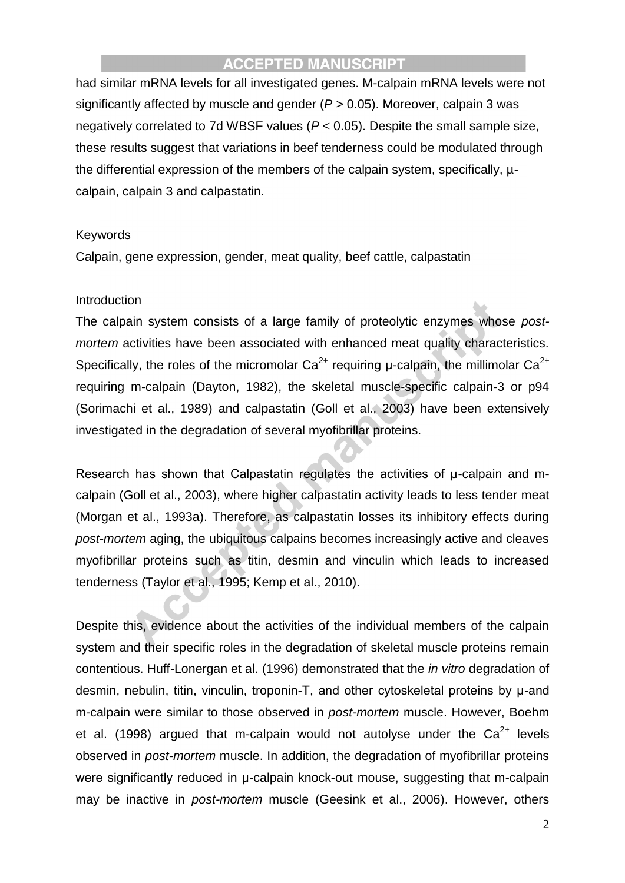had similar mRNA levels for all investigated genes. M-calpain mRNA levels were not significantly affected by muscle and gender (*P* > 0.05). Moreover, calpain 3 was negatively correlated to 7d WBSF values (*P* < 0.05). Despite the small sample size, these results suggest that variations in beef tenderness could be modulated through the differential expression of the members of the calpain system, specifically, µcalpain, calpain 3 and calpastatin.

#### Keywords

Calpain, gene expression, gender, meat quality, beef cattle, calpastatin

#### Introduction

The calpain system consists of a large family of proteolytic enzymes whose *postmortem* activities have been associated with enhanced meat quality characteristics. Specifically, the roles of the micromolar  $Ca^{2+}$  requiring u-calpain, the millimolar  $Ca^{2+}$ requiring m-calpain (Dayton, 1982), the skeletal muscle-specific calpain-3 or p94 (Sorimachi et al., 1989) and calpastatin (Goll et al., 2003) have been extensively investigated in the degradation of several myofibrillar proteins.

Research has shown that Calpastatin regulates the activities of μ-calpain and mcalpain (Goll et al., 2003), where higher calpastatin activity leads to less tender meat (Morgan et al., 1993a). Therefore, as calpastatin losses its inhibitory effects during *post-mortem* aging, the ubiquitous calpains becomes increasingly active and cleaves myofibrillar proteins such as titin, desmin and vinculin which leads to increased tenderness (Taylor et al., 1995; Kemp et al., 2010).

Despite this, evidence about the activities of the individual members of the calpain system and their specific roles in the degradation of skeletal muscle proteins remain contentious. Huff-Lonergan et al. (1996) demonstrated that the *in vitro* degradation of desmin, nebulin, titin, vinculin, troponin-T, and other cytoskeletal proteins by μ-and m-calpain were similar to those observed in *post-mortem* muscle. However, Boehm et al. (1998) argued that m-calpain would not autolyse under the  $Ca^{2+}$  levels observed in *post-mortem* muscle. In addition, the degradation of myofibrillar proteins were significantly reduced in μ-calpain knock-out mouse, suggesting that m-calpain may be inactive in *post-mortem* muscle (Geesink et al., 2006). However, others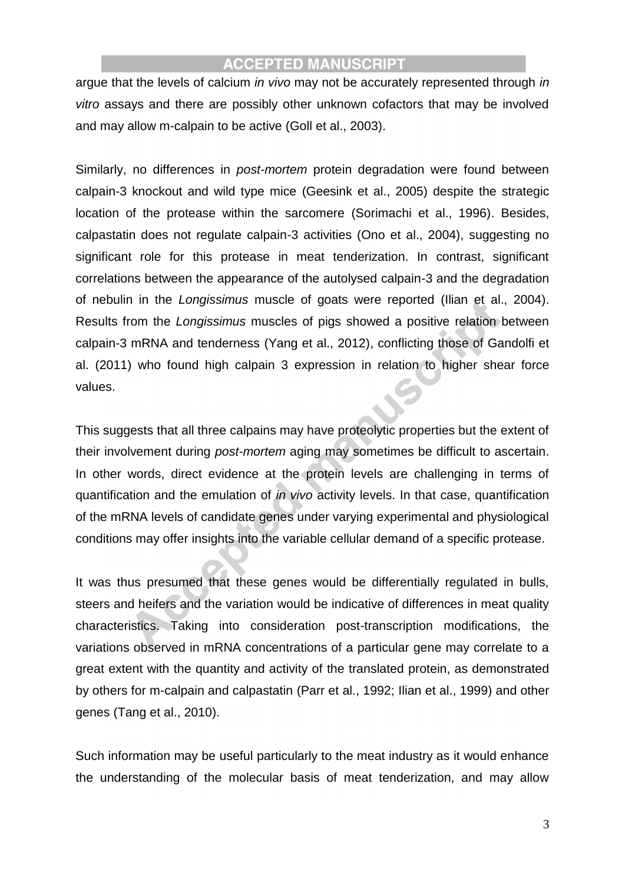argue that the levels of calcium *in vivo* may not be accurately represented through *in vitro* assays and there are possibly other unknown cofactors that may be involved and may allow m-calpain to be active (Goll et al., 2003).

Similarly, no differences in *post-mortem* protein degradation were found between calpain-3 knockout and wild type mice (Geesink et al., 2005) despite the strategic location of the protease within the sarcomere (Sorimachi et al., 1996). Besides, calpastatin does not regulate calpain-3 activities (Ono et al., 2004), suggesting no significant role for this protease in meat tenderization. In contrast, significant correlations between the appearance of the autolysed calpain-3 and the degradation of nebulin in the *Longissimus* muscle of goats were reported (Ilian et al., 2004). Results from the *Longissimus* muscles of pigs showed a positive relation between calpain-3 mRNA and tenderness (Yang et al., 2012), conflicting those of Gandolfi et al. (2011) who found high calpain 3 expression in relation to higher shear force values.

This suggests that all three calpains may have proteolytic properties but the extent of their involvement during *post-mortem* aging may sometimes be difficult to ascertain. In other words, direct evidence at the protein levels are challenging in terms of quantification and the emulation of *in vivo* activity levels. In that case, quantification of the mRNA levels of candidate genes under varying experimental and physiological conditions may offer insights into the variable cellular demand of a specific protease.

It was thus presumed that these genes would be differentially regulated in bulls, steers and heifers and the variation would be indicative of differences in meat quality characteristics. Taking into consideration post-transcription modifications, the variations observed in mRNA concentrations of a particular gene may correlate to a great extent with the quantity and activity of the translated protein, as demonstrated by others for m-calpain and calpastatin (Parr et al., 1992; Ilian et al., 1999) and other genes (Tang et al., 2010).

Such information may be useful particularly to the meat industry as it would enhance the understanding of the molecular basis of meat tenderization, and may allow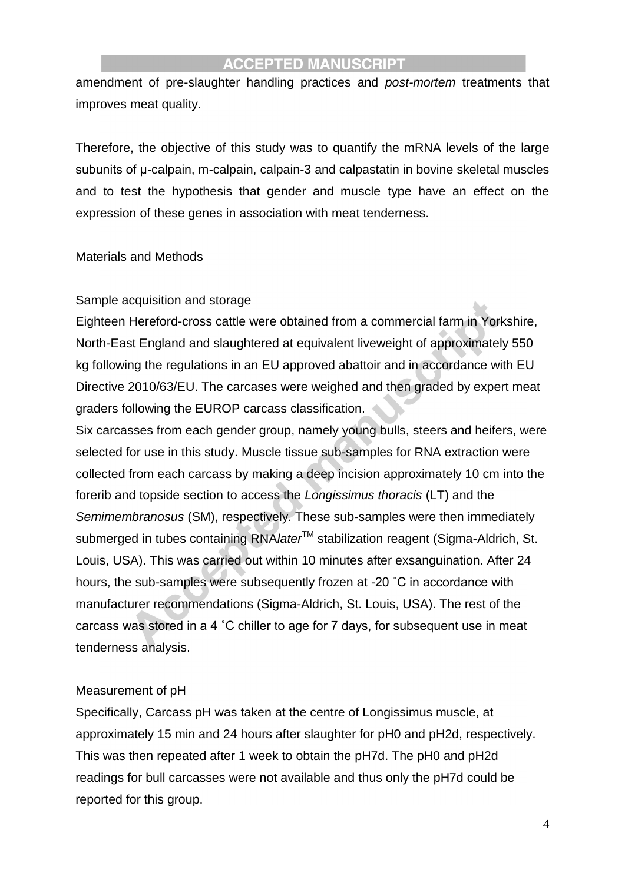amendment of pre-slaughter handling practices and *post-mortem* treatments that improves meat quality.

Therefore, the objective of this study was to quantify the mRNA levels of the large subunits of μ-calpain, m-calpain, calpain-3 and calpastatin in bovine skeletal muscles and to test the hypothesis that gender and muscle type have an effect on the expression of these genes in association with meat tenderness.

#### Materials and Methods

#### Sample acquisition and storage

Eighteen Hereford-cross cattle were obtained from a commercial farm in Yorkshire, North-East England and slaughtered at equivalent liveweight of approximately 550 kg following the regulations in an EU approved abattoir and in accordance with EU Directive 2010/63/EU. The carcases were weighed and then graded by expert meat graders following the EUROP carcass classification.

Six carcasses from each gender group, namely young bulls, steers and heifers, were selected for use in this study. Muscle tissue sub-samples for RNA extraction were collected from each carcass by making a deep incision approximately 10 cm into the forerib and topside section to access the *Longissimus thoracis* (LT) and the *Semimembranosus* (SM), respectively. These sub-samples were then immediately submerged in tubes containing RNA*later*<sup>™</sup> stabilization reagent (Sigma-Aldrich, St. Louis, USA). This was carried out within 10 minutes after exsanguination. After 24 hours, the sub-samples were subsequently frozen at -20 ˚C in accordance with manufacturer recommendations (Sigma-Aldrich, St. Louis, USA). The rest of the carcass was stored in a 4 ˚C chiller to age for 7 days, for subsequent use in meat tenderness analysis.

#### Measurement of pH

Specifically, Carcass pH was taken at the centre of Longissimus muscle, at approximately 15 min and 24 hours after slaughter for pH0 and pH2d, respectively. This was then repeated after 1 week to obtain the pH7d. The pH0 and pH2d readings for bull carcasses were not available and thus only the pH7d could be reported for this group.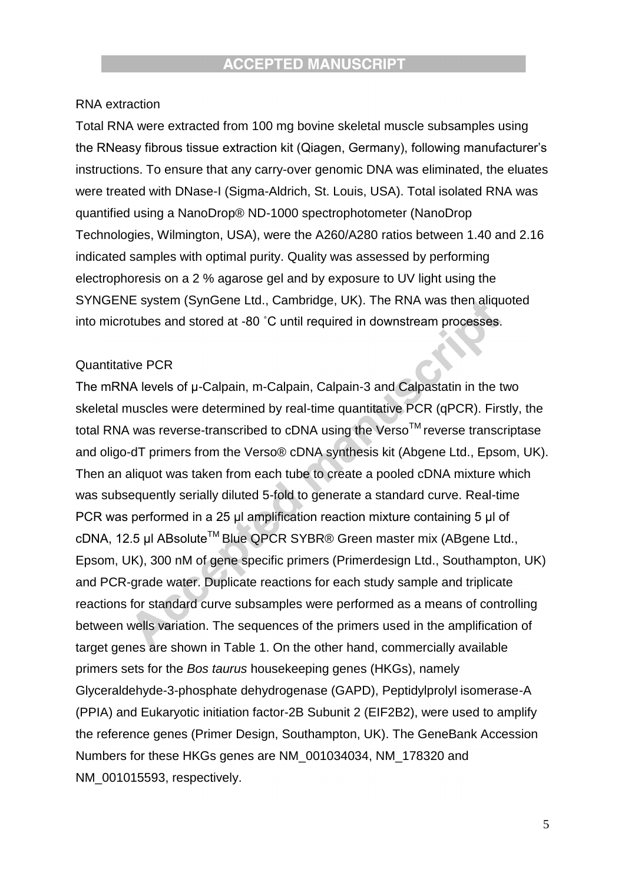#### RNA extraction

Total RNA were extracted from 100 mg bovine skeletal muscle subsamples using the RNeasy fibrous tissue extraction kit (Qiagen, Germany), following manufacturer's instructions. To ensure that any carry-over genomic DNA was eliminated, the eluates were treated with DNase-I (Sigma-Aldrich, St. Louis, USA). Total isolated RNA was quantified using a NanoDrop® ND-1000 spectrophotometer (NanoDrop Technologies, Wilmington, USA), were the A260/A280 ratios between 1.40 and 2.16 indicated samples with optimal purity. Quality was assessed by performing electrophoresis on a 2 % agarose gel and by exposure to UV light using the SYNGENE system (SynGene Ltd., Cambridge, UK). The RNA was then aliquoted into microtubes and stored at -80 ˚C until required in downstream processes.

#### Quantitative PCR

The mRNA levels of μ-Calpain, m-Calpain, Calpain-3 and Calpastatin in the two skeletal muscles were determined by real-time quantitative PCR (qPCR). Firstly, the total RNA was reverse-transcribed to cDNA using the Verso<sup>TM</sup> reverse transcriptase and oligo-dT primers from the Verso® cDNA synthesis kit (Abgene Ltd., Epsom, UK). Then an aliquot was taken from each tube to create a pooled cDNA mixture which was subsequently serially diluted 5-fold to generate a standard curve. Real-time PCR was performed in a 25 μl amplification reaction mixture containing 5 μl of cDNA, 12.5 μl ABsolute<sup>TM</sup> Blue QPCR SYBR® Green master mix (ABgene Ltd., Epsom, UK), 300 nM of gene specific primers (Primerdesign Ltd., Southampton, UK) and PCR-grade water. Duplicate reactions for each study sample and triplicate reactions for standard curve subsamples were performed as a means of controlling between wells variation. The sequences of the primers used in the amplification of target genes are shown in Table 1. On the other hand, commercially available primers sets for the *Bos taurus* housekeeping genes (HKGs), namely Glyceraldehyde-3-phosphate dehydrogenase (GAPD), Peptidylprolyl isomerase-A (PPIA) and Eukaryotic initiation factor-2B Subunit 2 (EIF2B2), were used to amplify the reference genes (Primer Design, Southampton, UK). The GeneBank Accession Numbers for these HKGs genes are NM\_001034034, NM\_178320 and NM\_001015593, respectively.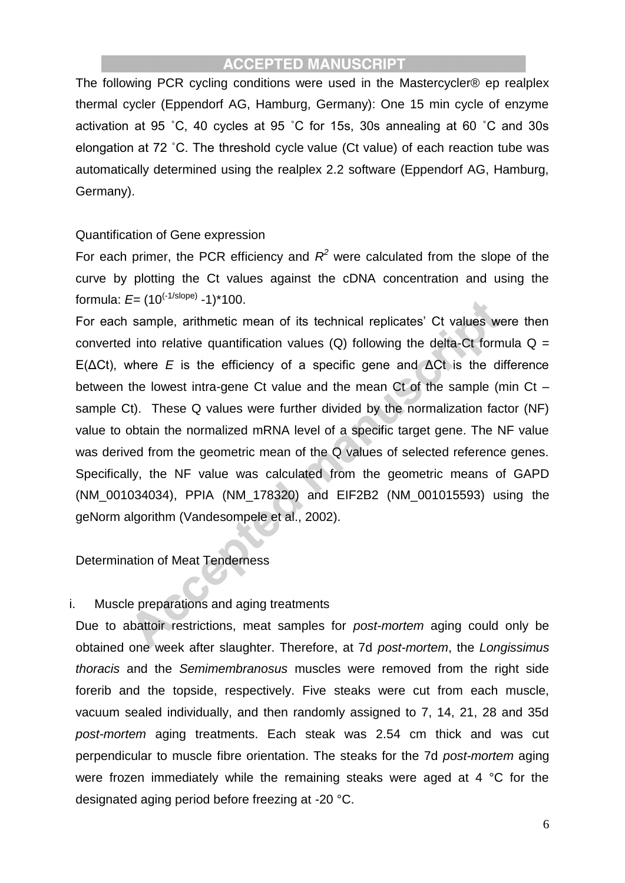The following PCR cycling conditions were used in the Mastercycler® ep realplex thermal cycler (Eppendorf AG, Hamburg, Germany): One 15 min cycle of enzyme activation at 95 ˚C, 40 cycles at 95 ˚C for 15s, 30s annealing at 60 ˚C and 30s elongation at 72 ˚C. The threshold cycle value (Ct value) of each reaction tube was automatically determined using the realplex 2.2 software (Eppendorf AG, Hamburg, Germany).

#### Quantification of Gene expression

For each primer, the PCR efficiency and  $R^2$  were calculated from the slope of the curve by plotting the Ct values against the cDNA concentration and using the formula: *E*= (10(-1/slope) -1)\*100.

For each sample, arithmetic mean of its technical replicates' Ct values were then converted into relative quantification values (Q) following the delta-Ct formula  $Q =$ E(ΔCt), where *E* is the efficiency of a specific gene and ΔCt is the difference between the lowest intra-gene Ct value and the mean Ct of the sample (min Ct – sample Ct). These Q values were further divided by the normalization factor (NF) value to obtain the normalized mRNA level of a specific target gene. The NF value was derived from the geometric mean of the Q values of selected reference genes. Specifically, the NF value was calculated from the geometric means of GAPD (NM\_001034034), PPIA (NM\_178320) and EIF2B2 (NM\_001015593) using the geNorm algorithm (Vandesompele et al., 2002).

Determination of Meat Tenderness

#### i. Muscle preparations and aging treatments

Due to abattoir restrictions, meat samples for *post-mortem* aging could only be obtained one week after slaughter. Therefore, at 7d *post-mortem*, the *Longissimus thoracis* and the *Semimembranosus* muscles were removed from the right side forerib and the topside, respectively. Five steaks were cut from each muscle, vacuum sealed individually, and then randomly assigned to 7, 14, 21, 28 and 35d *post-mortem* aging treatments. Each steak was 2.54 cm thick and was cut perpendicular to muscle fibre orientation. The steaks for the 7d *post-mortem* aging were frozen immediately while the remaining steaks were aged at 4 °C for the designated aging period before freezing at -20 °C.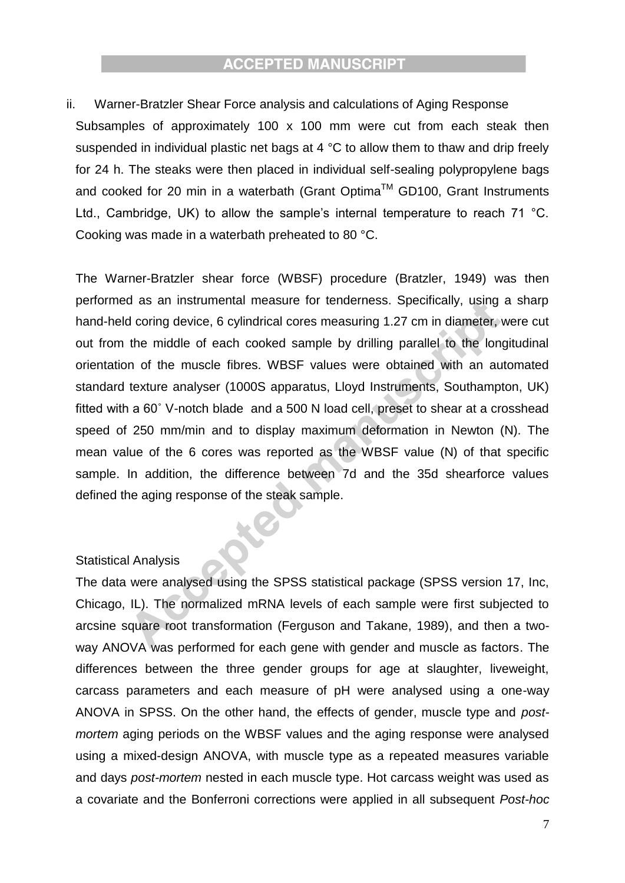ii. Warner-Bratzler Shear Force analysis and calculations of Aging Response Subsamples of approximately 100 x 100 mm were cut from each steak then suspended in individual plastic net bags at 4 °C to allow them to thaw and drip freely for 24 h. The steaks were then placed in individual self-sealing polypropylene bags and cooked for 20 min in a waterbath (Grant Optima™ GD100, Grant Instruments Ltd., Cambridge, UK) to allow the sample's internal temperature to reach 71 °C. Cooking was made in a waterbath preheated to 80 °C.

The Warner-Bratzler shear force (WBSF) procedure (Bratzler, 1949) was then performed as an instrumental measure for tenderness. Specifically, using a sharp hand-held coring device, 6 cylindrical cores measuring 1.27 cm in diameter, were cut out from the middle of each cooked sample by drilling parallel to the longitudinal orientation of the muscle fibres. WBSF values were obtained with an automated standard texture analyser (1000S apparatus, Lloyd Instruments, Southampton, UK) fitted with a 60˚ V-notch blade and a 500 N load cell, preset to shear at a crosshead speed of 250 mm/min and to display maximum deformation in Newton (N). The mean value of the 6 cores was reported as the WBSF value (N) of that specific sample. In addition, the difference between 7d and the 35d shearforce values defined the aging response of the steak sample.

#### Statistical Analysis

The data were analysed using the SPSS statistical package (SPSS version 17, Inc, Chicago, IL). The normalized mRNA levels of each sample were first subjected to arcsine square root transformation (Ferguson and Takane, 1989), and then a twoway ANOVA was performed for each gene with gender and muscle as factors. The differences between the three gender groups for age at slaughter, liveweight, carcass parameters and each measure of pH were analysed using a one-way ANOVA in SPSS. On the other hand, the effects of gender, muscle type and *postmortem* aging periods on the WBSF values and the aging response were analysed using a mixed-design ANOVA, with muscle type as a repeated measures variable and days *post-mortem* nested in each muscle type. Hot carcass weight was used as a covariate and the Bonferroni corrections were applied in all subsequent *Post-hoc*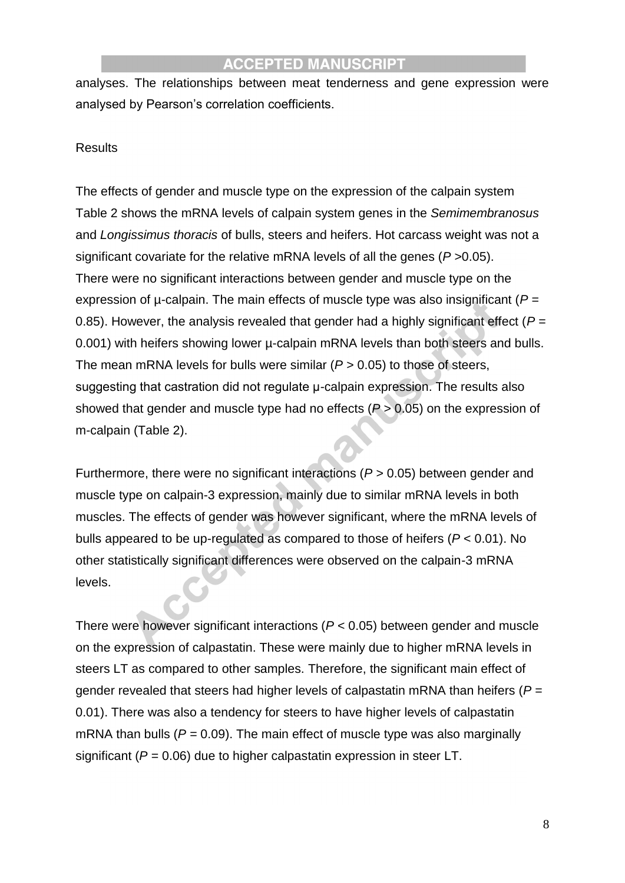analyses. The relationships between meat tenderness and gene expression were analysed by Pearson's correlation coefficients.

#### **Results**

The effects of gender and muscle type on the expression of the calpain system Table 2 shows the mRNA levels of calpain system genes in the *Semimembranosus* and *Longissimus thoracis* of bulls, steers and heifers. Hot carcass weight was not a significant covariate for the relative mRNA levels of all the genes (*P* >0.05). There were no significant interactions between gender and muscle type on the expression of µ-calpain. The main effects of muscle type was also insignificant (*P* = 0.85). However, the analysis revealed that gender had a highly significant effect  $(P =$ 0.001) with heifers showing lower u-calpain mRNA levels than both steers and bulls. The mean mRNA levels for bulls were similar (*P* > 0.05) to those of steers, suggesting that castration did not regulate μ-calpain expression. The results also showed that gender and muscle type had no effects (*P* > 0.05) on the expression of m-calpain (Table 2).

Furthermore, there were no significant interactions (*P* > 0.05) between gender and muscle type on calpain-3 expression, mainly due to similar mRNA levels in both muscles. The effects of gender was however significant, where the mRNA levels of bulls appeared to be up-regulated as compared to those of heifers (*P* < 0.01). No other statistically significant differences were observed on the calpain-3 mRNA levels.

There were however significant interactions (*P* < 0.05) between gender and muscle on the expression of calpastatin. These were mainly due to higher mRNA levels in steers LT as compared to other samples. Therefore, the significant main effect of gender revealed that steers had higher levels of calpastatin mRNA than heifers (*P* = 0.01). There was also a tendency for steers to have higher levels of calpastatin mRNA than bulls  $(P = 0.09)$ . The main effect of muscle type was also marginally significant (*P* = 0.06) due to higher calpastatin expression in steer LT.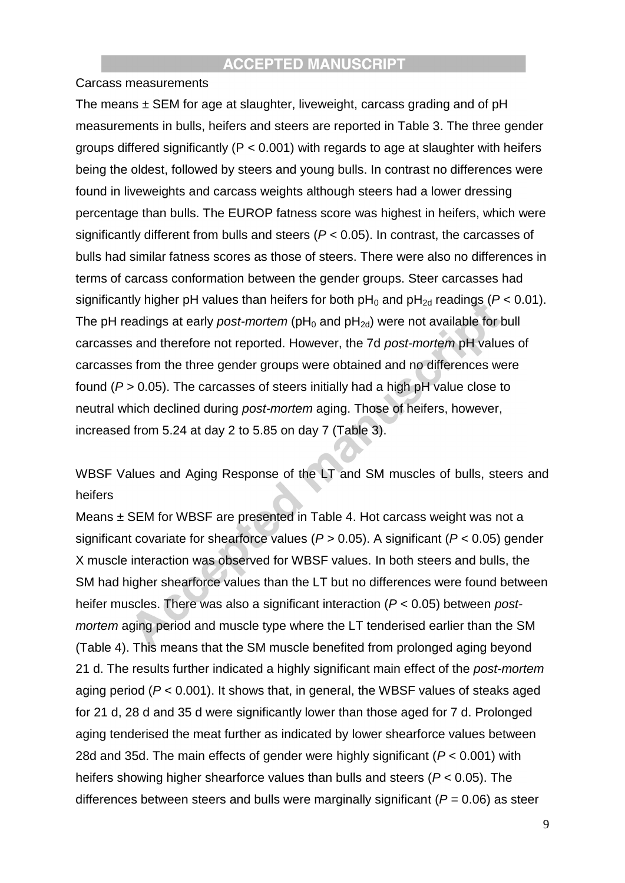#### Carcass measurements

The means  $\pm$  SEM for age at slaughter, liveweight, carcass grading and of pH measurements in bulls, heifers and steers are reported in Table 3. The three gender groups differed significantly ( $P < 0.001$ ) with regards to age at slaughter with heifers being the oldest, followed by steers and young bulls. In contrast no differences were found in liveweights and carcass weights although steers had a lower dressing percentage than bulls. The EUROP fatness score was highest in heifers, which were significantly different from bulls and steers (*P* < 0.05). In contrast, the carcasses of bulls had similar fatness scores as those of steers. There were also no differences in terms of carcass conformation between the gender groups. Steer carcasses had significantly higher pH values than heifers for both  $pH_0$  and  $pH_{2d}$  readings ( $P < 0.01$ ). The pH readings at early *post-mortem* ( $pH_0$  and  $pH_{2d}$ ) were not available for bull carcasses and therefore not reported. However, the 7d *post-mortem* pH values of carcasses from the three gender groups were obtained and no differences were found (*P* > 0.05). The carcasses of steers initially had a high pH value close to neutral which declined during *post-mortem* aging. Those of heifers, however, increased from 5.24 at day 2 to 5.85 on day 7 (Table 3).

WBSF Values and Aging Response of the LT and SM muscles of bulls, steers and heifers

Means ± SEM for WBSF are presented in Table 4. Hot carcass weight was not a significant covariate for shearforce values (*P >* 0.05). A significant (*P* < 0.05) gender X muscle interaction was observed for WBSF values. In both steers and bulls, the SM had higher shearforce values than the LT but no differences were found between heifer muscles. There was also a significant interaction (*P* < 0.05) between *postmortem* aging period and muscle type where the LT tenderised earlier than the SM (Table 4). This means that the SM muscle benefited from prolonged aging beyond 21 d. The results further indicated a highly significant main effect of the *post-mortem* aging period (*P* < 0.001). It shows that, in general, the WBSF values of steaks aged for 21 d, 28 d and 35 d were significantly lower than those aged for 7 d. Prolonged aging tenderised the meat further as indicated by lower shearforce values between 28d and 35d. The main effects of gender were highly significant (*P* < 0.001) with heifers showing higher shearforce values than bulls and steers (*P* < 0.05). The differences between steers and bulls were marginally significant (*P* = 0.06) as steer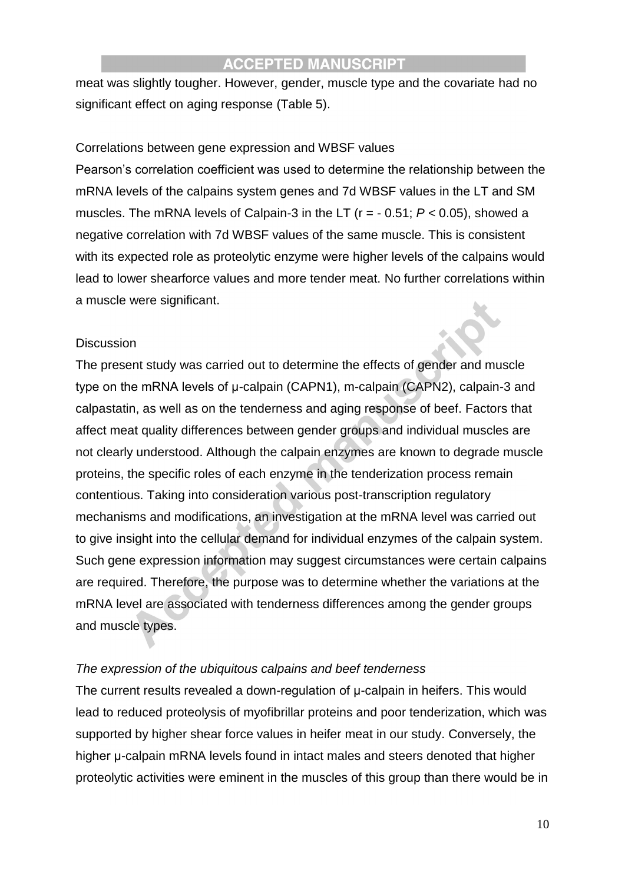meat was slightly tougher. However, gender, muscle type and the covariate had no significant effect on aging response (Table 5).

#### Correlations between gene expression and WBSF values

Pearson's correlation coefficient was used to determine the relationship between the mRNA levels of the calpains system genes and 7d WBSF values in the LT and SM muscles. The mRNA levels of Calpain-3 in the LT (r = - 0.51; *P* < 0.05), showed a negative correlation with 7d WBSF values of the same muscle. This is consistent with its expected role as proteolytic enzyme were higher levels of the calpains would lead to lower shearforce values and more tender meat. No further correlations within a muscle were significant.

#### **Discussion**

The present study was carried out to determine the effects of gender and muscle type on the mRNA levels of μ-calpain (CAPN1), m-calpain (CAPN2), calpain-3 and calpastatin, as well as on the tenderness and aging response of beef. Factors that affect meat quality differences between gender groups and individual muscles are not clearly understood. Although the calpain enzymes are known to degrade muscle proteins, the specific roles of each enzyme in the tenderization process remain contentious. Taking into consideration various post-transcription regulatory mechanisms and modifications, an investigation at the mRNA level was carried out to give insight into the cellular demand for individual enzymes of the calpain system. Such gene expression information may suggest circumstances were certain calpains are required. Therefore, the purpose was to determine whether the variations at the mRNA level are associated with tenderness differences among the gender groups and muscle types.

#### *The expression of the ubiquitous calpains and beef tenderness*

The current results revealed a down-regulation of μ-calpain in heifers. This would lead to reduced proteolysis of myofibrillar proteins and poor tenderization, which was supported by higher shear force values in heifer meat in our study. Conversely, the higher μ-calpain mRNA levels found in intact males and steers denoted that higher proteolytic activities were eminent in the muscles of this group than there would be in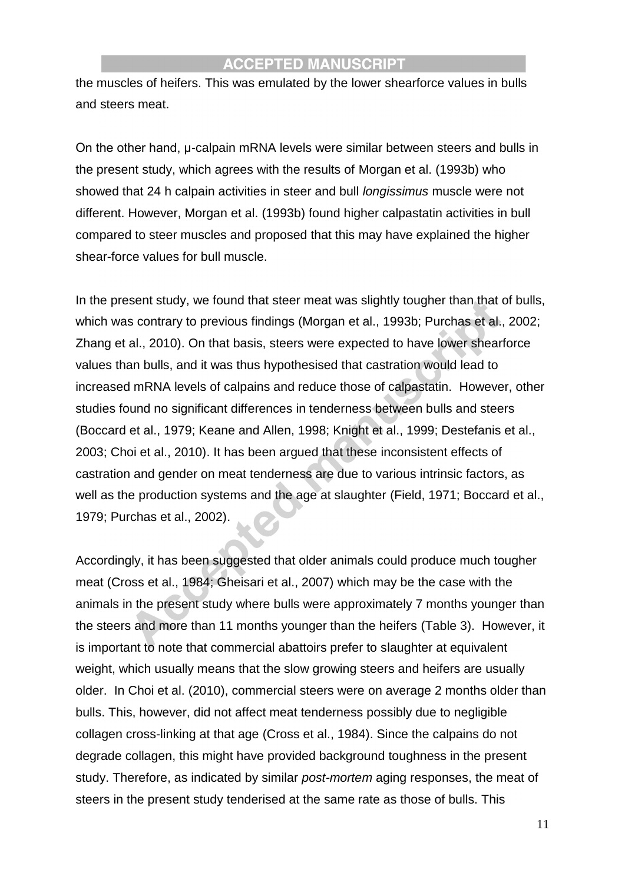the muscles of heifers. This was emulated by the lower shearforce values in bulls and steers meat.

On the other hand, μ-calpain mRNA levels were similar between steers and bulls in the present study, which agrees with the results of Morgan et al. (1993b) who showed that 24 h calpain activities in steer and bull *longissimus* muscle were not different. However, Morgan et al. (1993b) found higher calpastatin activities in bull compared to steer muscles and proposed that this may have explained the higher shear-force values for bull muscle.

In the present study, we found that steer meat was slightly tougher than that of bulls, which was contrary to previous findings (Morgan et al., 1993b; Purchas et al., 2002; Zhang et al., 2010). On that basis, steers were expected to have lower shearforce values than bulls, and it was thus hypothesised that castration would lead to increased mRNA levels of calpains and reduce those of calpastatin. However, other studies found no significant differences in tenderness between bulls and steers (Boccard et al., 1979; Keane and Allen, 1998; Knight et al., 1999; Destefanis et al., 2003; Choi et al., 2010). It has been argued that these inconsistent effects of castration and gender on meat tenderness are due to various intrinsic factors, as well as the production systems and the age at slaughter (Field, 1971; Boccard et al., 1979; Purchas et al., 2002).

Accordingly, it has been suggested that older animals could produce much tougher meat (Cross et al., 1984; Gheisari et al., 2007) which may be the case with the animals in the present study where bulls were approximately 7 months younger than the steers and more than 11 months younger than the heifers (Table 3). However, it is important to note that commercial abattoirs prefer to slaughter at equivalent weight, which usually means that the slow growing steers and heifers are usually older. In Choi et al. (2010), commercial steers were on average 2 months older than bulls. This, however, did not affect meat tenderness possibly due to negligible collagen cross-linking at that age (Cross et al., 1984). Since the calpains do not degrade collagen, this might have provided background toughness in the present study. Therefore, as indicated by similar *post-mortem* aging responses, the meat of steers in the present study tenderised at the same rate as those of bulls. This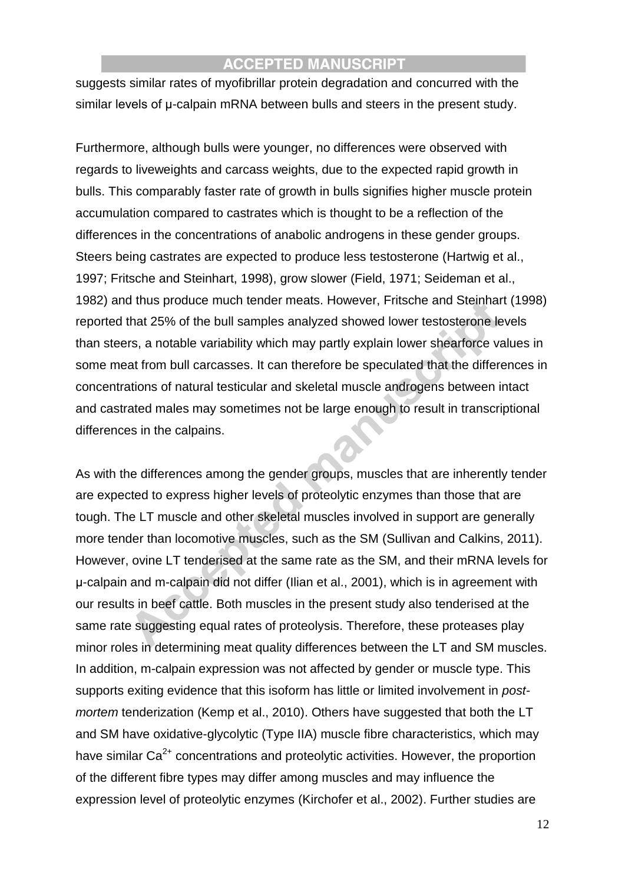suggests similar rates of myofibrillar protein degradation and concurred with the similar levels of μ-calpain mRNA between bulls and steers in the present study.

Furthermore, although bulls were younger, no differences were observed with regards to liveweights and carcass weights, due to the expected rapid growth in bulls. This comparably faster rate of growth in bulls signifies higher muscle protein accumulation compared to castrates which is thought to be a reflection of the differences in the concentrations of anabolic androgens in these gender groups. Steers being castrates are expected to produce less testosterone (Hartwig et al., 1997; Fritsche and Steinhart, 1998), grow slower (Field, 1971; Seideman et al., 1982) and thus produce much tender meats. However, Fritsche and Steinhart (1998) reported that 25% of the bull samples analyzed showed lower testosterone levels than steers, a notable variability which may partly explain lower shearforce values in some meat from bull carcasses. It can therefore be speculated that the differences in concentrations of natural testicular and skeletal muscle androgens between intact and castrated males may sometimes not be large enough to result in transcriptional differences in the calpains.

As with the differences among the gender groups, muscles that are inherently tender are expected to express higher levels of proteolytic enzymes than those that are tough. The LT muscle and other skeletal muscles involved in support are generally more tender than locomotive muscles, such as the SM (Sullivan and Calkins, 2011). However, ovine LT tenderised at the same rate as the SM, and their mRNA levels for μ-calpain and m-calpain did not differ (Ilian et al., 2001), which is in agreement with our results in beef cattle. Both muscles in the present study also tenderised at the same rate suggesting equal rates of proteolysis. Therefore, these proteases play minor roles in determining meat quality differences between the LT and SM muscles. In addition, m-calpain expression was not affected by gender or muscle type. This supports exiting evidence that this isoform has little or limited involvement in *postmortem* tenderization (Kemp et al., 2010). Others have suggested that both the LT and SM have oxidative-glycolytic (Type IIA) muscle fibre characteristics, which may have similar  $Ca^{2+}$  concentrations and proteolytic activities. However, the proportion of the different fibre types may differ among muscles and may influence the expression level of proteolytic enzymes (Kirchofer et al., 2002). Further studies are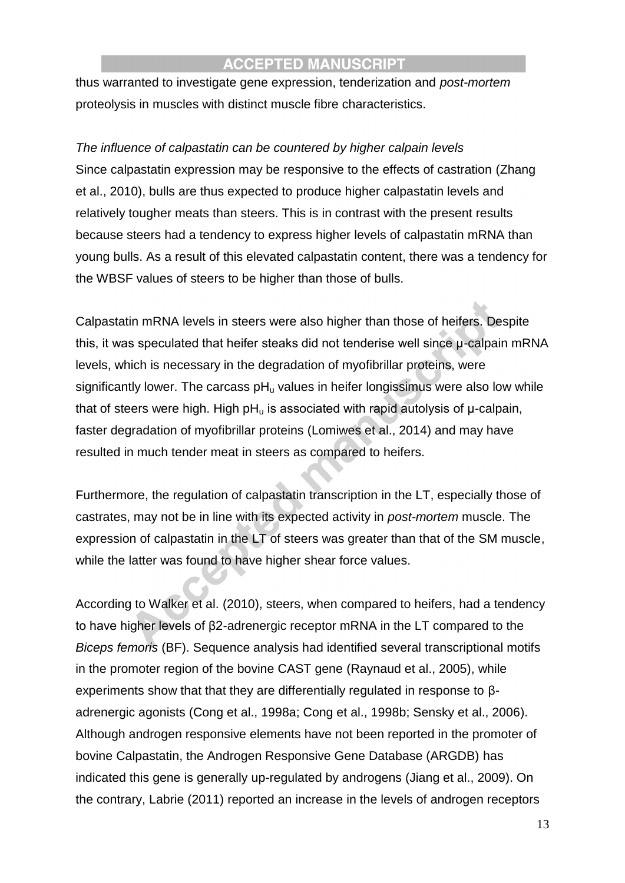thus warranted to investigate gene expression, tenderization and *post-mortem* proteolysis in muscles with distinct muscle fibre characteristics.

## *The influence of calpastatin can be countered by higher calpain levels*

Since calpastatin expression may be responsive to the effects of castration (Zhang et al., 2010), bulls are thus expected to produce higher calpastatin levels and relatively tougher meats than steers. This is in contrast with the present results because steers had a tendency to express higher levels of calpastatin mRNA than young bulls. As a result of this elevated calpastatin content, there was a tendency for the WBSF values of steers to be higher than those of bulls.

Calpastatin mRNA levels in steers were also higher than those of heifers. Despite this, it was speculated that heifer steaks did not tenderise well since μ-calpain mRNA levels, which is necessary in the degradation of myofibrillar proteins, were significantly lower. The carcass  $pH<sub>u</sub>$  values in heifer longissimus were also low while that of steers were high. High  $pH<sub>u</sub>$  is associated with rapid autolysis of  $\mu$ -calpain, faster degradation of myofibrillar proteins (Lomiwes et al., 2014) and may have resulted in much tender meat in steers as compared to heifers.

Furthermore, the regulation of calpastatin transcription in the LT, especially those of castrates, may not be in line with its expected activity in *post-mortem* muscle. The expression of calpastatin in the LT of steers was greater than that of the SM muscle, while the latter was found to have higher shear force values.

According to Walker et al. (2010), steers, when compared to heifers, had a tendency to have higher levels of β2-adrenergic receptor mRNA in the LT compared to the *Biceps femoris* (BF). Sequence analysis had identified several transcriptional motifs in the promoter region of the bovine CAST gene (Raynaud et al., 2005), while experiments show that that they are differentially regulated in response to βadrenergic agonists (Cong et al., 1998a; Cong et al., 1998b; Sensky et al., 2006). Although androgen responsive elements have not been reported in the promoter of bovine Calpastatin, the Androgen Responsive Gene Database (ARGDB) has indicated this gene is generally up-regulated by androgens (Jiang et al., 2009). On the contrary, Labrie (2011) reported an increase in the levels of androgen receptors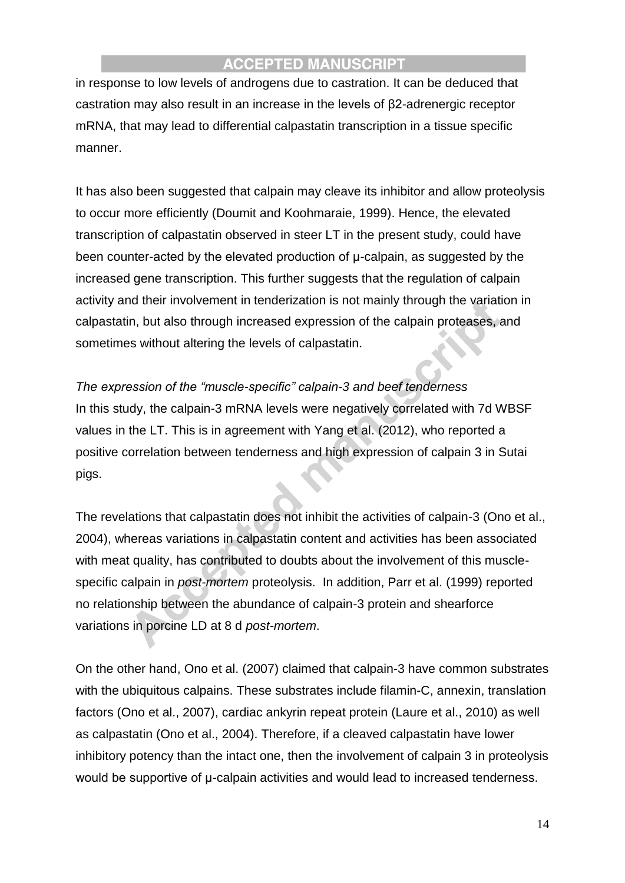in response to low levels of androgens due to castration. It can be deduced that castration may also result in an increase in the levels of β2-adrenergic receptor mRNA, that may lead to differential calpastatin transcription in a tissue specific manner.

It has also been suggested that calpain may cleave its inhibitor and allow proteolysis to occur more efficiently (Doumit and Koohmaraie, 1999). Hence, the elevated transcription of calpastatin observed in steer LT in the present study, could have been counter-acted by the elevated production of μ-calpain, as suggested by the increased gene transcription. This further suggests that the regulation of calpain activity and their involvement in tenderization is not mainly through the variation in calpastatin, but also through increased expression of the calpain proteases, and sometimes without altering the levels of calpastatin.

*The expression of the "muscle-specific" calpain-3 and beef tenderness* In this study, the calpain-3 mRNA levels were negatively correlated with 7d WBSF values in the LT. This is in agreement with Yang et al. (2012), who reported a positive correlation between tenderness and high expression of calpain 3 in Sutai pigs.

The revelations that calpastatin does not inhibit the activities of calpain-3 (Ono et al., 2004), whereas variations in calpastatin content and activities has been associated with meat quality, has contributed to doubts about the involvement of this musclespecific calpain in *post-mortem* proteolysis. In addition, Parr et al. (1999) reported no relationship between the abundance of calpain-3 protein and shearforce variations in porcine LD at 8 d *post-mortem*.

On the other hand, Ono et al. (2007) claimed that calpain-3 have common substrates with the ubiquitous calpains. These substrates include filamin-C, annexin, translation factors (Ono et al., 2007), cardiac ankyrin repeat protein (Laure et al., 2010) as well as calpastatin (Ono et al., 2004). Therefore, if a cleaved calpastatin have lower inhibitory potency than the intact one, then the involvement of calpain 3 in proteolysis would be supportive of μ-calpain activities and would lead to increased tenderness.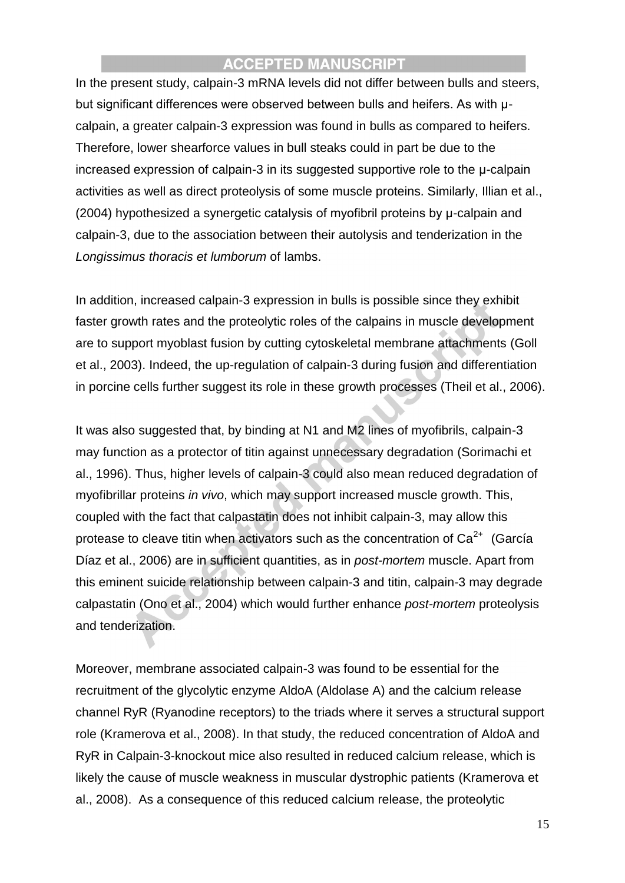In the present study, calpain-3 mRNA levels did not differ between bulls and steers, but significant differences were observed between bulls and heifers. As with μcalpain, a greater calpain-3 expression was found in bulls as compared to heifers. Therefore, lower shearforce values in bull steaks could in part be due to the increased expression of calpain-3 in its suggested supportive role to the μ-calpain activities as well as direct proteolysis of some muscle proteins. Similarly, Illian et al., (2004) hypothesized a synergetic catalysis of myofibril proteins by μ-calpain and calpain-3, due to the association between their autolysis and tenderization in the *Longissimus thoracis et lumborum* of lambs.

In addition, increased calpain-3 expression in bulls is possible since they exhibit faster growth rates and the proteolytic roles of the calpains in muscle development are to support myoblast fusion by cutting cytoskeletal membrane attachments (Goll et al., 2003). Indeed, the up-regulation of calpain-3 during fusion and differentiation in porcine cells further suggest its role in these growth processes (Theil et al., 2006).

It was also suggested that, by binding at N1 and M2 lines of myofibrils, calpain-3 may function as a protector of titin against unnecessary degradation (Sorimachi et al., 1996). Thus, higher levels of calpain-3 could also mean reduced degradation of myofibrillar proteins *in vivo*, which may support increased muscle growth. This, coupled with the fact that calpastatin does not inhibit calpain-3, may allow this protease to cleave titin when activators such as the concentration of  $Ca<sup>2+</sup>$  (García Díaz et al., 2006) are in sufficient quantities, as in *post-mortem* muscle. Apart from this eminent suicide relationship between calpain-3 and titin, calpain-3 may degrade calpastatin (Ono et al., 2004) which would further enhance *post-mortem* proteolysis and tenderization.

Moreover, membrane associated calpain-3 was found to be essential for the recruitment of the glycolytic enzyme AldoA (Aldolase A) and the calcium release channel RyR (Ryanodine receptors) to the triads where it serves a structural support role (Kramerova et al., 2008). In that study, the reduced concentration of AldoA and RyR in Calpain-3-knockout mice also resulted in reduced calcium release, which is likely the cause of muscle weakness in muscular dystrophic patients (Kramerova et al., 2008). As a consequence of this reduced calcium release, the proteolytic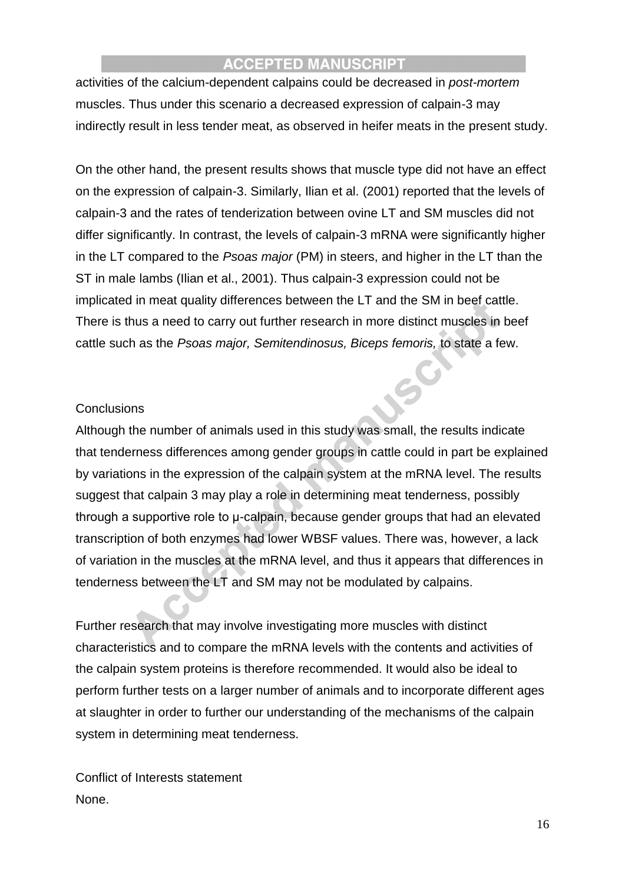activities of the calcium-dependent calpains could be decreased in *post-mortem* muscles. Thus under this scenario a decreased expression of calpain-3 may indirectly result in less tender meat, as observed in heifer meats in the present study.

On the other hand, the present results shows that muscle type did not have an effect on the expression of calpain-3. Similarly, Ilian et al. (2001) reported that the levels of calpain-3 and the rates of tenderization between ovine LT and SM muscles did not differ significantly. In contrast, the levels of calpain-3 mRNA were significantly higher in the LT compared to the *Psoas major* (PM) in steers, and higher in the LT than the ST in male lambs (Ilian et al., 2001). Thus calpain-3 expression could not be implicated in meat quality differences between the LT and the SM in beef cattle. There is thus a need to carry out further research in more distinct muscles in beef cattle such as the *Psoas major, Semitendinosus, Biceps femoris,* to state a few.

#### **Conclusions**

Although the number of animals used in this study was small, the results indicate that tenderness differences among gender groups in cattle could in part be explained by variations in the expression of the calpain system at the mRNA level. The results suggest that calpain 3 may play a role in determining meat tenderness, possibly through a supportive role to μ-calpain, because gender groups that had an elevated transcription of both enzymes had lower WBSF values. There was, however, a lack of variation in the muscles at the mRNA level, and thus it appears that differences in tenderness between the LT and SM may not be modulated by calpains.

Further research that may involve investigating more muscles with distinct characteristics and to compare the mRNA levels with the contents and activities of the calpain system proteins is therefore recommended. It would also be ideal to perform further tests on a larger number of animals and to incorporate different ages at slaughter in order to further our understanding of the mechanisms of the calpain system in determining meat tenderness.

Conflict of Interests statement None.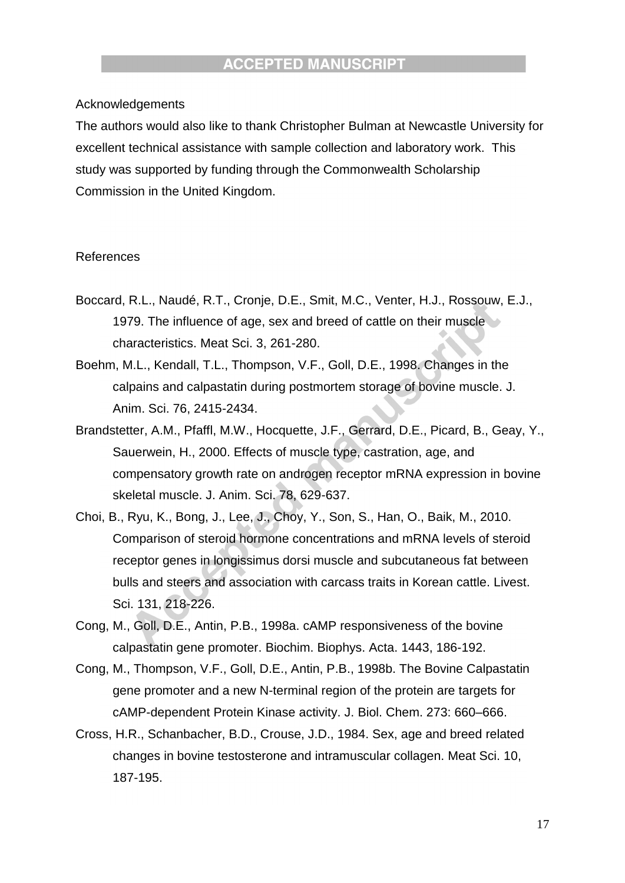#### Acknowledgements

The authors would also like to thank Christopher Bulman at Newcastle University for excellent technical assistance with sample collection and laboratory work. This study was supported by funding through the Commonwealth Scholarship Commission in the United Kingdom.

#### References

- Boccard, R.L., Naudé, R.T., Cronje, D.E., Smit, M.C., Venter, H.J., Rossouw, E.J., 1979. The influence of age, sex and breed of cattle on their muscle characteristics. Meat Sci. 3, 261-280.
- Boehm, M.L., Kendall, T.L., Thompson, V.F., Goll, D.E., 1998. Changes in the calpains and calpastatin during postmortem storage of bovine muscle. J. Anim. Sci. 76, 2415-2434.
- Brandstetter, A.M., Pfaffl, M.W., Hocquette, J.F., Gerrard, D.E., Picard, B., Geay, Y., Sauerwein, H., 2000. Effects of muscle type, castration, age, and compensatory growth rate on androgen receptor mRNA expression in bovine skeletal muscle. J. Anim. Sci. 78, 629-637.
- Choi, B., Ryu, K., Bong, J., Lee, J., Choy, Y., Son, S., Han, O., Baik, M., 2010. Comparison of steroid hormone concentrations and mRNA levels of steroid receptor genes in longissimus dorsi muscle and subcutaneous fat between bulls and steers and association with carcass traits in Korean cattle. Livest. Sci. 131, 218-226.
- Cong, M., Goll, D.E., Antin, P.B., 1998a. cAMP responsiveness of the bovine calpastatin gene promoter. Biochim. Biophys. Acta. 1443, 186-192.
- Cong, M., Thompson, V.F., Goll, D.E., Antin, P.B., 1998b. The Bovine Calpastatin gene promoter and a new N-terminal region of the protein are targets for cAMP-dependent Protein Kinase activity. J. Biol. Chem. 273: 660–666.
- Cross, H.R., Schanbacher, B.D., Crouse, J.D., 1984. Sex, age and breed related changes in bovine testosterone and intramuscular collagen. Meat Sci. 10, 187-195.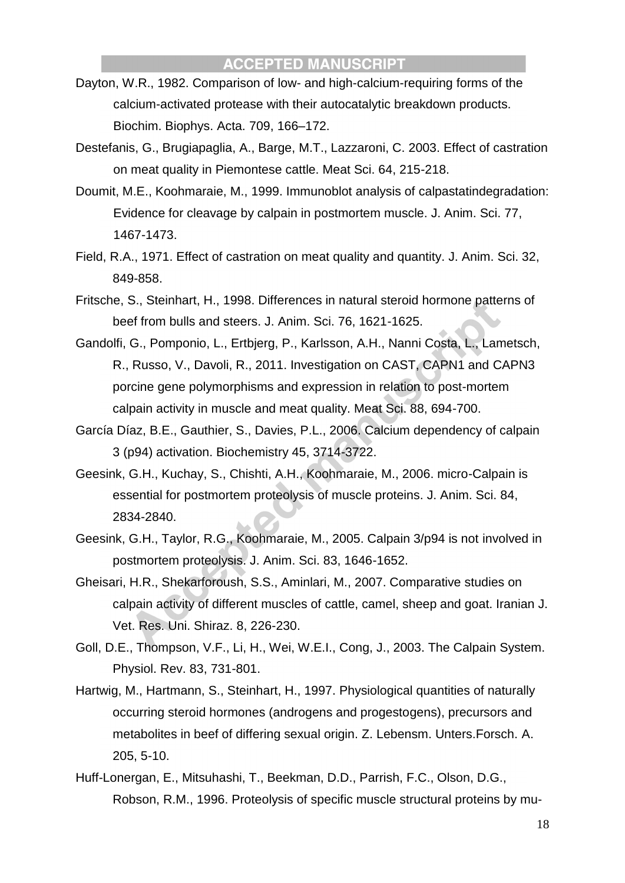- Dayton, W.R., 1982. Comparison of low- and high-calcium-requiring forms of the calcium-activated protease with their autocatalytic breakdown products. Biochim. Biophys. Acta. 709, 166–172.
- Destefanis, G., Brugiapaglia, A., Barge, M.T., Lazzaroni, C. 2003. Effect of castration on meat quality in Piemontese cattle. Meat Sci. 64, 215-218.
- Doumit, M.E., Koohmaraie, M., 1999. Immunoblot analysis of calpastatindegradation: Evidence for cleavage by calpain in postmortem muscle. J. Anim. Sci. 77, 1467-1473.
- Field, R.A., 1971. Effect of castration on meat quality and quantity. J. Anim. Sci. 32, 849-858.
- Fritsche, S., Steinhart, H., 1998. Differences in natural steroid hormone patterns of beef from bulls and steers. J. Anim. Sci. 76, 1621-1625.
- Gandolfi, G., Pomponio, L., Ertbjerg, P., Karlsson, A.H., Nanni Costa, L., Lametsch, R., Russo, V., Davoli, R., 2011. Investigation on CAST, CAPN1 and CAPN3 porcine gene polymorphisms and expression in relation to post-mortem calpain activity in muscle and meat quality. Meat Sci. 88, 694-700.
- García Díaz, B.E., Gauthier, S., Davies, P.L., 2006. Calcium dependency of calpain 3 (p94) activation. Biochemistry 45, 3714-3722.
- Geesink, G.H., Kuchay, S., Chishti, A.H., Koohmaraie, M., 2006. micro-Calpain is essential for postmortem proteolysis of muscle proteins. J. Anim. Sci. 84, 2834-2840.
- Geesink, G.H., Taylor, R.G., Koohmaraie, M., 2005. Calpain 3/p94 is not involved in postmortem proteolysis. J. Anim. Sci. 83, 1646-1652.
- Gheisari, H.R., Shekarforoush, S.S., Aminlari, M., 2007. Comparative studies on calpain activity of different muscles of cattle, camel, sheep and goat. Iranian J. Vet. Res. Uni. Shiraz. 8, 226-230.
- Goll, D.E., Thompson, V.F., Li, H., Wei, W.E.I., Cong, J., 2003. The Calpain System. Physiol. Rev. 83, 731-801.
- Hartwig, M., Hartmann, S., Steinhart, H., 1997. Physiological quantities of naturally occurring steroid hormones (androgens and progestogens), precursors and metabolites in beef of differing sexual origin. Z. Lebensm. Unters.Forsch. A. 205, 5-10.
- Huff-Lonergan, E., Mitsuhashi, T., Beekman, D.D., Parrish, F.C., Olson, D.G., Robson, R.M., 1996. Proteolysis of specific muscle structural proteins by mu-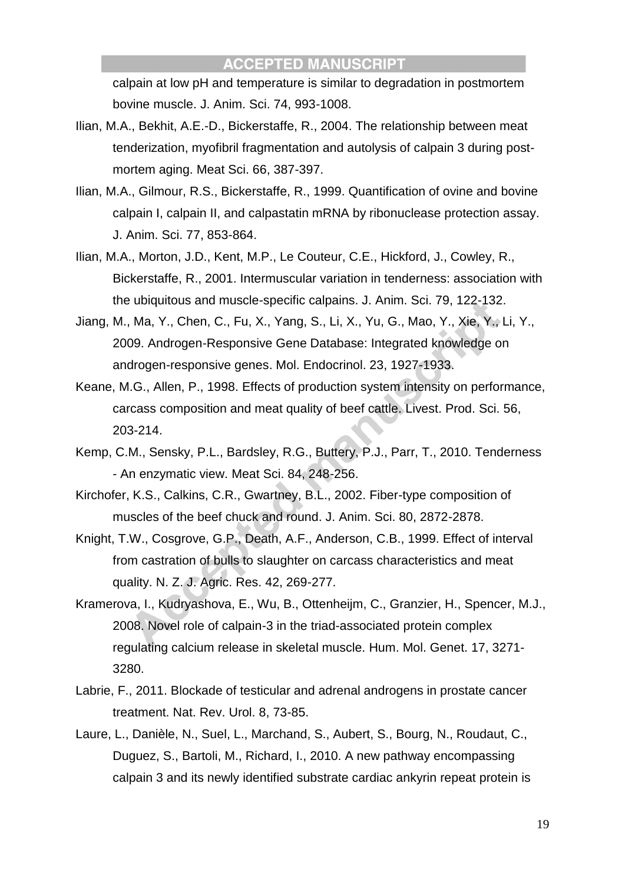calpain at low pH and temperature is similar to degradation in postmortem bovine muscle. J. Anim. Sci. 74, 993-1008.

- Ilian, M.A., Bekhit, A.E.-D., Bickerstaffe, R., 2004. The relationship between meat tenderization, myofibril fragmentation and autolysis of calpain 3 during postmortem aging. Meat Sci. 66, 387-397.
- Ilian, M.A., Gilmour, R.S., Bickerstaffe, R., 1999. Quantification of ovine and bovine calpain I, calpain II, and calpastatin mRNA by ribonuclease protection assay. J. Anim. Sci. 77, 853-864.
- Ilian, M.A., Morton, J.D., Kent, M.P., Le Couteur, C.E., Hickford, J., Cowley, R., Bickerstaffe, R., 2001. Intermuscular variation in tenderness: association with the ubiquitous and muscle-specific calpains. J. Anim. Sci. 79, 122-132.
- Jiang, M., Ma, Y., Chen, C., Fu, X., Yang, S., Li, X., Yu, G., Mao, Y., Xie, Y., Li, Y., 2009. Androgen-Responsive Gene Database: Integrated knowledge on androgen-responsive genes. Mol. Endocrinol. 23, 1927-1933.
- Keane, M.G., Allen, P., 1998. Effects of production system intensity on performance, carcass composition and meat quality of beef cattle. Livest. Prod. Sci. 56, 203-214.
- Kemp, C.M., Sensky, P.L., Bardsley, R.G., Buttery, P.J., Parr, T., 2010. Tenderness - An enzymatic view. Meat Sci. 84, 248-256.
- Kirchofer, K.S., Calkins, C.R., Gwartney, B.L., 2002. Fiber-type composition of muscles of the beef chuck and round. J. Anim. Sci. 80, 2872-2878.
- Knight, T.W., Cosgrove, G.P., Death, A.F., Anderson, C.B., 1999. Effect of interval from castration of bulls to slaughter on carcass characteristics and meat quality. N. Z. J. Agric. Res. 42, 269-277.
- Kramerova, I., Kudryashova, E., Wu, B., Ottenheijm, C., Granzier, H., Spencer, M.J., 2008. Novel role of calpain-3 in the triad-associated protein complex regulating calcium release in skeletal muscle. Hum. Mol. Genet. 17, 3271- 3280.
- Labrie, F., 2011. Blockade of testicular and adrenal androgens in prostate cancer treatment. Nat. Rev. Urol. 8, 73-85.
- Laure, L., Danièle, N., Suel, L., Marchand, S., Aubert, S., Bourg, N., Roudaut, C., Duguez, S., Bartoli, M., Richard, I., 2010. A new pathway encompassing calpain 3 and its newly identified substrate cardiac ankyrin repeat protein is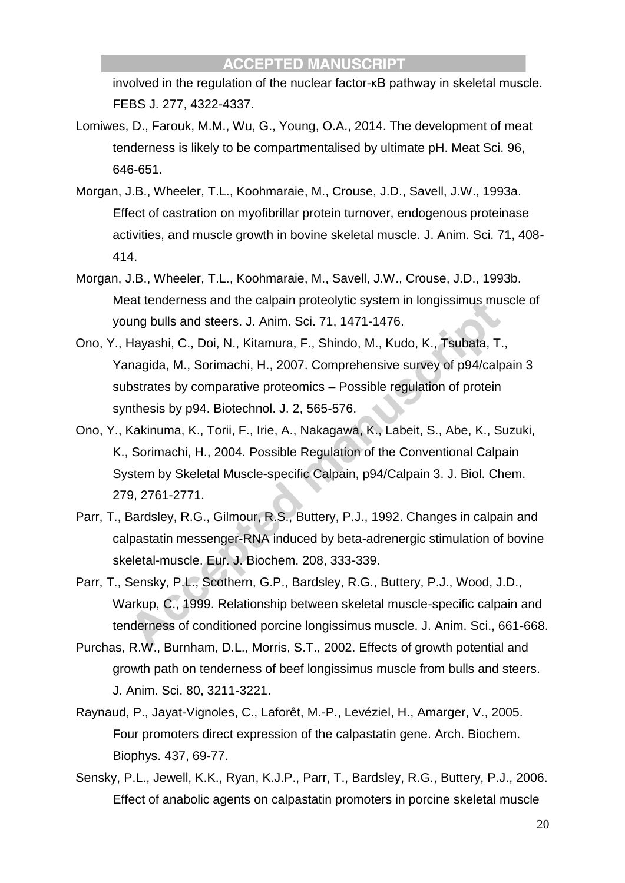involved in the regulation of the nuclear factor-κB pathway in skeletal muscle. FEBS J. 277, 4322-4337.

- Lomiwes, D., Farouk, M.M., Wu, G., Young, O.A., 2014. The development of meat tenderness is likely to be compartmentalised by ultimate pH. Meat Sci. 96, 646-651.
- Morgan, J.B., Wheeler, T.L., Koohmaraie, M., Crouse, J.D., Savell, J.W., 1993a. Effect of castration on myofibrillar protein turnover, endogenous proteinase activities, and muscle growth in bovine skeletal muscle. J. Anim. Sci. 71, 408- 414.
- Morgan, J.B., Wheeler, T.L., Koohmaraie, M., Savell, J.W., Crouse, J.D., 1993b. Meat tenderness and the calpain proteolytic system in longissimus muscle of young bulls and steers. J. Anim. Sci. 71, 1471-1476.
- Ono, Y., Hayashi, C., Doi, N., Kitamura, F., Shindo, M., Kudo, K., Tsubata, T., Yanagida, M., Sorimachi, H., 2007. Comprehensive survey of p94/calpain 3 substrates by comparative proteomics – Possible regulation of protein synthesis by p94. Biotechnol. J. 2, 565-576.
- Ono, Y., Kakinuma, K., Torii, F., Irie, A., Nakagawa, K., Labeit, S., Abe, K., Suzuki, K., Sorimachi, H., 2004. Possible Regulation of the Conventional Calpain System by Skeletal Muscle-specific Calpain, p94/Calpain 3. J. Biol. Chem. 279, 2761-2771.
- Parr, T., Bardsley, R.G., Gilmour, R.S., Buttery, P.J., 1992. Changes in calpain and calpastatin messenger-RNA induced by beta-adrenergic stimulation of bovine skeletal-muscle. Eur. J. Biochem. 208, 333-339.
- Parr, T., Sensky, P.L., Scothern, G.P., Bardsley, R.G., Buttery, P.J., Wood, J.D., Warkup, C., 1999. Relationship between skeletal muscle-specific calpain and tenderness of conditioned porcine longissimus muscle. J. Anim. Sci., 661-668.
- Purchas, R.W., Burnham, D.L., Morris, S.T., 2002. Effects of growth potential and growth path on tenderness of beef longissimus muscle from bulls and steers. J. Anim. Sci. 80, 3211-3221.
- Raynaud, P., Jayat-Vignoles, C., Laforêt, M.-P., Levéziel, H., Amarger, V., 2005. Four promoters direct expression of the calpastatin gene. Arch. Biochem. Biophys. 437, 69-77.
- Sensky, P.L., Jewell, K.K., Ryan, K.J.P., Parr, T., Bardsley, R.G., Buttery, P.J., 2006. Effect of anabolic agents on calpastatin promoters in porcine skeletal muscle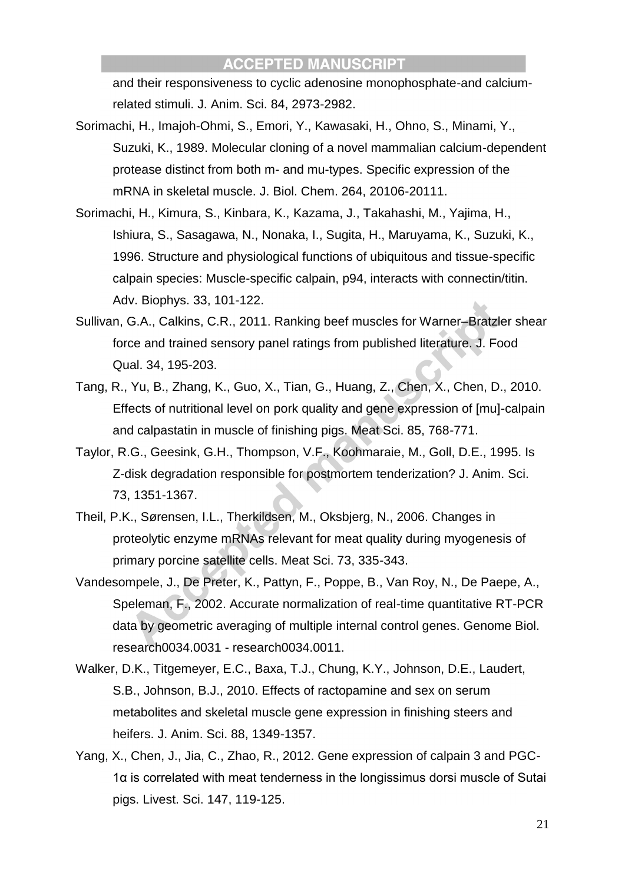and their responsiveness to cyclic adenosine monophosphate-and calciumrelated stimuli. J. Anim. Sci. 84, 2973-2982.

- Sorimachi, H., Imajoh-Ohmi, S., Emori, Y., Kawasaki, H., Ohno, S., Minami, Y., Suzuki, K., 1989. Molecular cloning of a novel mammalian calcium-dependent protease distinct from both m- and mu-types. Specific expression of the mRNA in skeletal muscle. J. Biol. Chem. 264, 20106-20111.
- Sorimachi, H., Kimura, S., Kinbara, K., Kazama, J., Takahashi, M., Yajima, H., Ishiura, S., Sasagawa, N., Nonaka, I., Sugita, H., Maruyama, K., Suzuki, K., 1996. Structure and physiological functions of ubiquitous and tissue-specific calpain species: Muscle-specific calpain, p94, interacts with connectin/titin. Adv. Biophys. 33, 101-122.
- Sullivan, G.A., Calkins, C.R., 2011. Ranking beef muscles for Warner–Bratzler shear force and trained sensory panel ratings from published literature. J. Food Qual. 34, 195-203.
- Tang, R., Yu, B., Zhang, K., Guo, X., Tian, G., Huang, Z., Chen, X., Chen, D., 2010. Effects of nutritional level on pork quality and gene expression of [mu]-calpain and calpastatin in muscle of finishing pigs. Meat Sci. 85, 768-771.
- Taylor, R.G., Geesink, G.H., Thompson, V.F., Koohmaraie, M., Goll, D.E., 1995. Is Z-disk degradation responsible for postmortem tenderization? J. Anim. Sci. 73, 1351-1367.
- Theil, P.K., Sørensen, I.L., Therkildsen, M., Oksbjerg, N., 2006. Changes in proteolytic enzyme mRNAs relevant for meat quality during myogenesis of primary porcine satellite cells. Meat Sci. 73, 335-343.
- Vandesompele, J., De Preter, K., Pattyn, F., Poppe, B., Van Roy, N., De Paepe, A., Speleman, F., 2002. Accurate normalization of real-time quantitative RT-PCR data by geometric averaging of multiple internal control genes. Genome Biol. research0034.0031 - research0034.0011.
- Walker, D.K., Titgemeyer, E.C., Baxa, T.J., Chung, K.Y., Johnson, D.E., Laudert, S.B., Johnson, B.J., 2010. Effects of ractopamine and sex on serum metabolites and skeletal muscle gene expression in finishing steers and heifers. J. Anim. Sci. 88, 1349-1357.
- Yang, X., Chen, J., Jia, C., Zhao, R., 2012. Gene expression of calpain 3 and PGC-1α is correlated with meat tenderness in the longissimus dorsi muscle of Sutai pigs. Livest. Sci. 147, 119-125.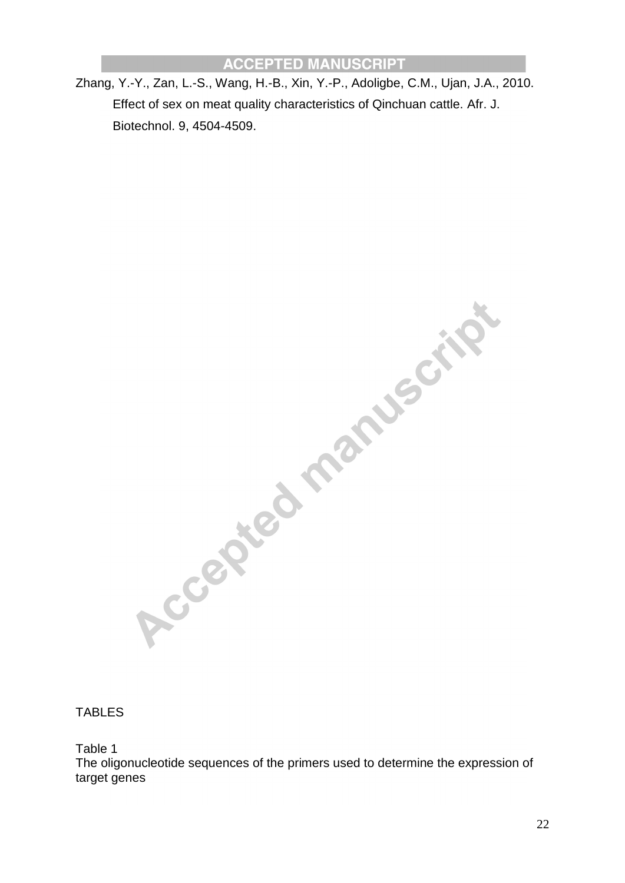Zhang, Y.-Y., Zan, L.-S., Wang, H.-B., Xin, Y.-P., Adoligbe, C.M., Ujan, J.A., 2010. Effect of sex on meat quality characteristics of Qinchuan cattle. Afr. J. Biotechnol. 9, 4504-4509.

TABLES ACCEPTED MARTINSCHIFT

Table 1

The oligonucleotide sequences of the primers used to determine the expression of target genes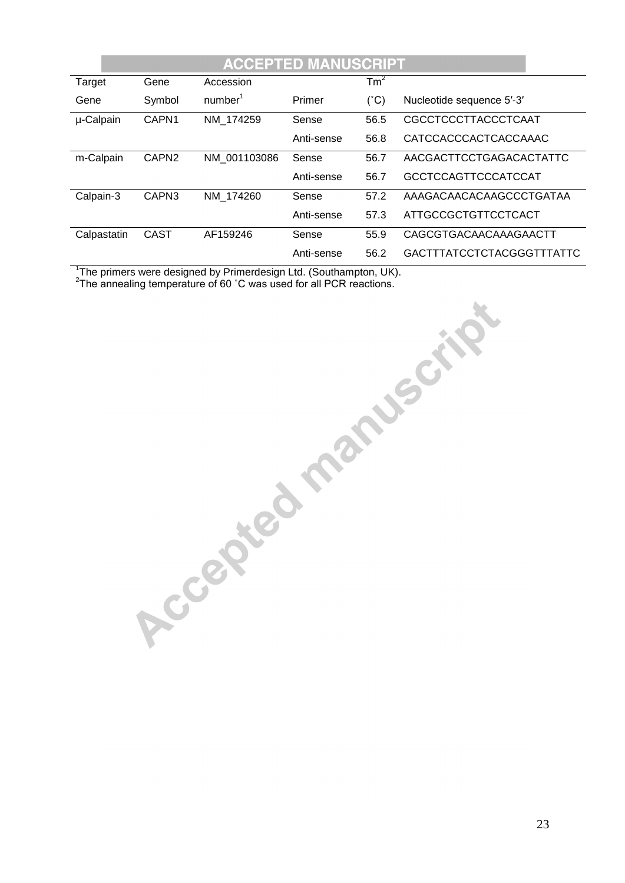| <b>ACCEPTED MANUSCRIPT</b> |                   |                     |            |                 |                            |
|----------------------------|-------------------|---------------------|------------|-----------------|----------------------------|
| Target                     | Gene              | Accession           |            | Tm <sup>2</sup> |                            |
| Gene                       | Symbol            | number <sup>1</sup> | Primer     | $(^{\circ}C)$   | Nucleotide sequence 5'-3'  |
| µ-Calpain                  | CAPN1             | NM 174259           | Sense      | 56.5            | CGCCTCCCTTACCCTCAAT        |
|                            |                   |                     | Anti-sense | 56.8            | CATCCACCCACTCACCAAAC       |
| m-Calpain                  | CAPN <sub>2</sub> | NM 001103086        | Sense      | 56.7            | AACGACTTCCTGAGACACTATTC    |
|                            |                   |                     | Anti-sense | 56.7            | <b>GCCTCCAGTTCCCATCCAT</b> |
| Calpain-3                  | CAPN3             | NM 174260           | Sense      | 57.2            | AAAGACAACACAAGCCCTGATAA    |
|                            |                   |                     | Anti-sense | 57.3            | <b>ATTGCCGCTGTTCCTCACT</b> |
| Calpastatin                | <b>CAST</b>       | AF159246            | Sense      | 55.9            | CAGCGTGACAACAAAGAACTT      |
|                            |                   |                     | Anti-sense | 56.2            | GACTTTATCCTCTACGGGTTTATTC  |

<sup>1</sup>The primers were designed by Primerdesign Ltd. (Southampton, UK).

 $2$ The annealing temperature of 60 °C was used for all PCR reactions.

**Procepted manuscript**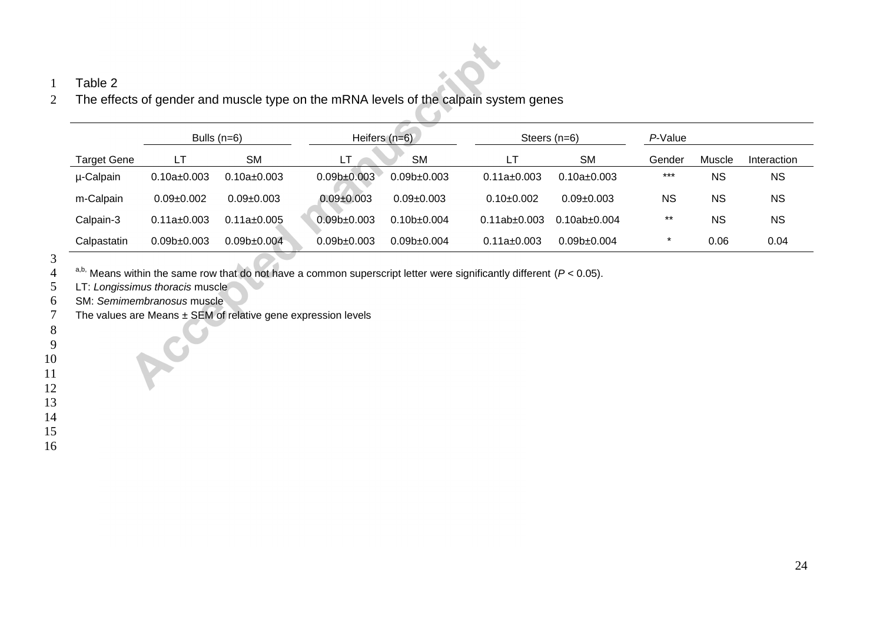## Table 2

The effects of gender and muscle type on the mRNA levels of the calpain system genes

|                    | Bulls $(n=6)$     |                          | Heifers $(n=6)$          |                 |                   | Steers $(n=6)$           |           | P-Value   |             |  |
|--------------------|-------------------|--------------------------|--------------------------|-----------------|-------------------|--------------------------|-----------|-----------|-------------|--|
| <b>Target Gene</b> | LТ                | <b>SM</b>                | LT.                      | <b>SM</b>       | LT                | <b>SM</b>                | Gender    | Muscle    | Interaction |  |
| µ-Calpain          | $0.10a \pm 0.003$ | $0.10a \pm 0.003$        | 0.09 <sub>b±</sub> 0.003 | $0.09b+0.003$   | $0.11a \pm 0.003$ | $0.10a \pm 0.003$        | ***       | <b>NS</b> | <b>NS</b>   |  |
| m-Calpain          | $0.09 + 0.002$    | $0.09 + 0.003$           | $0.09 + 0.003$           | $0.09 + 0.003$  | $0.10+0.002$      | $0.09 + 0.003$           | <b>NS</b> | <b>NS</b> | <b>NS</b>   |  |
| Calpain-3          | $0.11a \pm 0.003$ | $0.11a \pm 0.005$        | $0.09$ b± $0.003$        | $0.10b+0.004$   | $0.11ab + 0.003$  | $0.10$ ab+0.004          | $***$     | <b>NS</b> | <b>NS</b>   |  |
| Calpastatin        | $0.09b \pm 0.003$ | 0.09 <sub>b±</sub> 0.004 | 0.09 <sub>b±</sub> 0.003 | $0.09b + 0.004$ | $0.11a \pm 0.003$ | 0.09 <sub>b±</sub> 0.004 | *         | 0.06      | 0.04        |  |

 $\sqrt{2}$  $\overline{\phantom{a}}$ 

a,b, Means within the same row that do not have a common superscript letter were significantly different  $(P < 0.05)$ .

LT: *Longissimus thoracis* muscle

SM: *Semimembranosus* muscle

The values are Means ± SEM of relative gene expression levels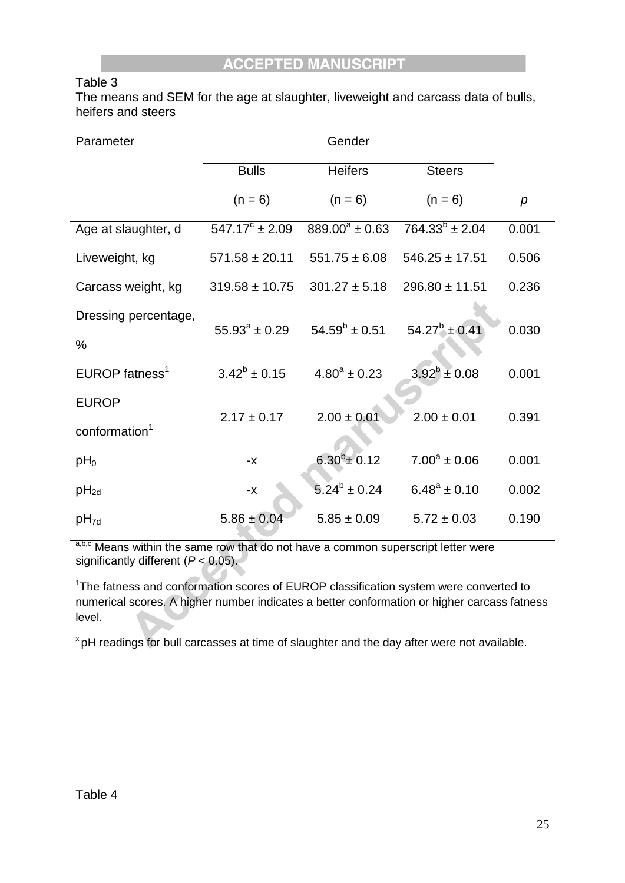## Table 3

The means and SEM for the age at slaughter, liveweight and carcass data of bulls, heifers and steers

| Parameter                  |                           | Gender              |                       |       |
|----------------------------|---------------------------|---------------------|-----------------------|-------|
|                            | <b>Bulls</b>              | <b>Heifers</b>      | <b>Steers</b>         |       |
|                            | $(n = 6)$                 | $(n = 6)$           | $(n = 6)$             | p     |
| Age at slaughter, d        | $547.17^{\circ} \pm 2.09$ | $889.00^a \pm 0.63$ | $764.33^{b} \pm 2.04$ | 0.001 |
| Liveweight, kg             | $571.58 \pm 20.11$        | $551.75 \pm 6.08$   | $546.25 \pm 17.51$    | 0.506 |
| Carcass weight, kg         | $319.58 \pm 10.75$        | $301.27 \pm 5.18$   | $296.80 \pm 11.51$    | 0.236 |
| Dressing percentage,       |                           |                     |                       |       |
| $\%$                       | $55.93^{\circ} \pm 0.29$  | $54.59^b \pm 0.51$  | $54.27^b \pm 0.41$    | 0.030 |
| EUROP fatness <sup>1</sup> | $3.42^b \pm 0.15$         | $4.80^a \pm 0.23$   | $3.92^b \pm 0.08$     | 0.001 |
| <b>EUROP</b>               |                           |                     |                       |       |
| conformation <sup>1</sup>  | $2.17 \pm 0.17$           | $2.00 \pm 0.01$     | $2.00 \pm 0.01$       | 0.391 |
| $pH_0$                     | $-X$                      | $6.30^{b} \pm 0.12$ | $7.00^a \pm 0.06$     | 0.001 |
| $pH_{2d}$                  | $-\chi$                   | $5.24^b \pm 0.24$   | $6.48^a \pm 0.10$     | 0.002 |
| $pH_{7d}$                  | $5.86 \pm 0.04$           | $5.85 \pm 0.09$     | $5.72 \pm 0.03$       | 0.190 |

a,b,c Means within the same row that do not have a common superscript letter were significantly different (*P* < 0.05).

<sup>1</sup>The fatness and conformation scores of EUROP classification system were converted to numerical scores. A higher number indicates a better conformation or higher carcass fatness level.

<sup>x</sup> pH readings for bull carcasses at time of slaughter and the day after were not available.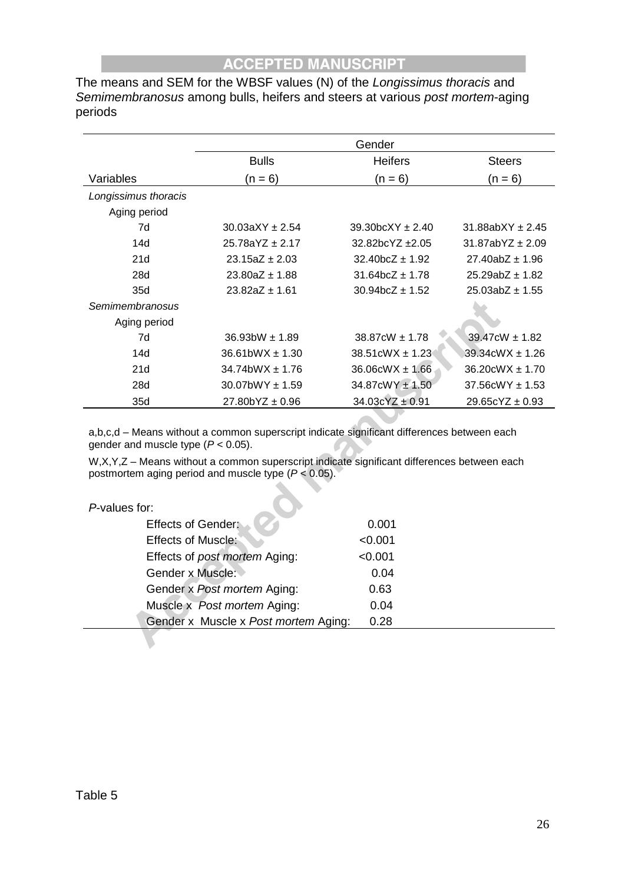The means and SEM for the WBSF values (N) of the *Longissimus thoracis* and *Semimembranosus* among bulls, heifers and steers at various *post mortem*-aging periods

|                      | Gender                 |                                             |                                |  |
|----------------------|------------------------|---------------------------------------------|--------------------------------|--|
|                      | <b>Bulls</b>           | <b>Heifers</b>                              | <b>Steers</b>                  |  |
| Variables            | $(n = 6)$              | $(n = 6)$                                   | $(n = 6)$                      |  |
| Longissimus thoracis |                        |                                             |                                |  |
| Aging period         |                        |                                             |                                |  |
| 7d                   | $30.03aXY + 2.54$      | $39.30bcXY + 2.40$                          | $31.88abXY + 2.45$             |  |
| 14d                  | $25.78aYZ + 2.17$      | $32.82bcYZ + 2.05$                          | $31.87abYZ + 2.09$             |  |
| 21d                  | $23.15aZ + 2.03$       | $32.40$ bcZ $\pm$ 1.92                      | $27.40abZ \pm 1.96$            |  |
| 28d                  | $23.80aZ \pm 1.88$     | $31.64$ bcZ $\pm$ 1.78                      | $25.29abZ \pm 1.82$            |  |
| 35d                  | $23.82aZ \pm 1.61$     | $30.94$ bcZ ± 1.52                          | $25.03abZ \pm 1.55$            |  |
| Semimembranosus      |                        |                                             |                                |  |
| Aging period         |                        |                                             |                                |  |
| 7d                   | $36.93$ bW $\pm 1.89$  | $38.87 \text{cW} \pm 1.78$                  | 39.47cW ± 1.82                 |  |
| 14d                  | $36.61$ bWX $\pm$ 1.30 | $38.51 \text{c} \text{W} \text{X} \pm 1.23$ | $39.34 \text{c}$ WX $\pm 1.26$ |  |
| 21d                  | $34.74$ bWX $\pm$ 1.76 | $36.06$ cW $X \pm 1.66$                     | $36.20$ cWX $\pm$ 1.70         |  |
| 28d                  | $30.07$ bWY $\pm$ 1.59 | $34.87$ cWY $\pm$ 1.50                      | $37.56$ cWY $\pm$ 1.53         |  |
| 35d                  | $27.80$ bYZ $\pm$ 0.96 | $34.03cYZ \pm 0.91$                         | $29.65cYZ \pm 0.93$            |  |

a,b,c,d – Means without a common superscript indicate significant differences between each gender and muscle type (*P* < 0.05).

W,X,Y,Z – Means without a common superscript indicate significant differences between each postmortem aging period and muscle type (*P* < 0.05).

| P-values for: |  |
|---------------|--|
|               |  |

| <b>Effects of Gender:</b>            | 0.001   |  |
|--------------------------------------|---------|--|
| <b>Effects of Muscle:</b>            | < 0.001 |  |
| Effects of post mortem Aging:        | < 0.001 |  |
| Gender x Muscle:                     | 0.04    |  |
| Gender x Post mortem Aging:          | 0.63    |  |
| Muscle x Post mortem Aging:          | 0.04    |  |
| Gender x Muscle x Post mortem Aging: | 0.28    |  |
|                                      |         |  |